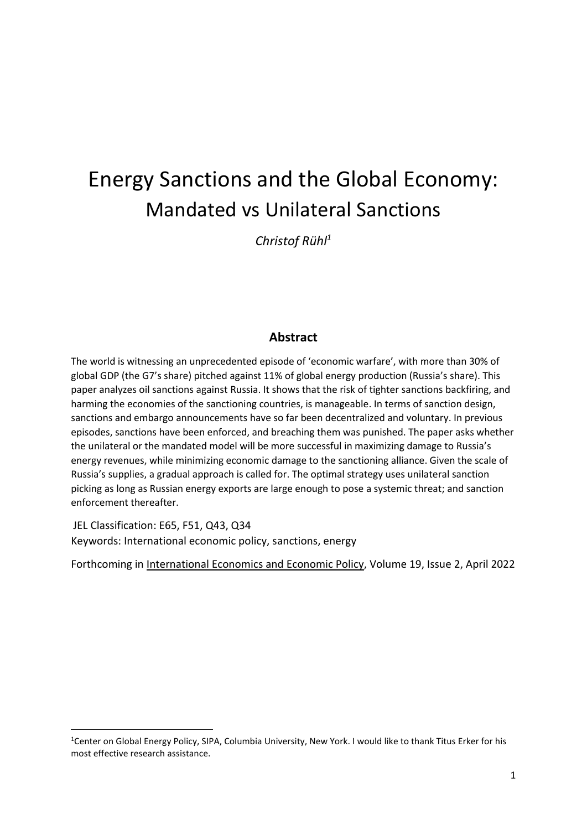# Energy Sanctions and the Global Economy: Mandated vs Unilateral Sanctions

*Christof Rühl<sup>1</sup>*

## **Abstract**

The world is witnessing an unprecedented episode of 'economic warfare', with more than 30% of global GDP (the G7's share) pitched against 11% of global energy production (Russia's share). This paper analyzes oil sanctions against Russia. It shows that the risk of tighter sanctions backfiring, and harming the economies of the sanctioning countries, is manageable. In terms of sanction design, sanctions and embargo announcements have so far been decentralized and voluntary. In previous episodes, sanctions have been enforced, and breaching them was punished. The paper asks whether the unilateral or the mandated model will be more successful in maximizing damage to Russia's energy revenues, while minimizing economic damage to the sanctioning alliance. Given the scale of Russia's supplies, a gradual approach is called for. The optimal strategy uses unilateral sanction picking as long as Russian energy exports are large enough to pose a systemic threat; and sanction enforcement thereafter.

JEL Classification: E65, F51, Q43, Q34 Keywords: International economic policy, sanctions, energy

Forthcoming in International Economics and Economic Policy, Volume 19, Issue 2, April 2022

<sup>1</sup>Center on Global Energy Policy, SIPA, Columbia University, New York. I would like to thank Titus Erker for his most effective research assistance.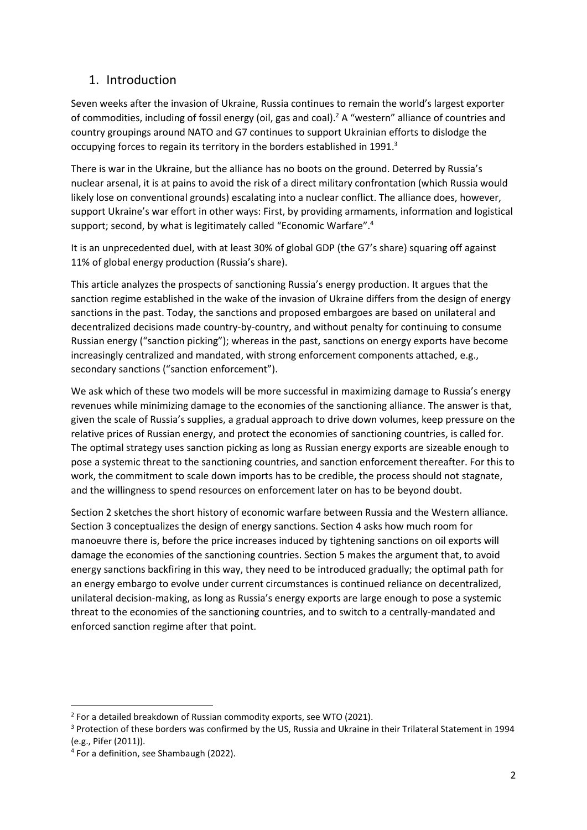## 1. Introduction

Seven weeks after the invasion of Ukraine, Russia continues to remain the world's largest exporter of commodities, including of fossil energy (oil, gas and coal).<sup>2</sup> A "western" alliance of countries and country groupings around NATO and G7 continues to support Ukrainian efforts to dislodge the occupying forces to regain its territory in the borders established in 1991.<sup>3</sup>

There is war in the Ukraine, but the alliance has no boots on the ground. Deterred by Russia's nuclear arsenal, it is at pains to avoid the risk of a direct military confrontation (which Russia would likely lose on conventional grounds) escalating into a nuclear conflict. The alliance does, however, support Ukraine's war effort in other ways: First, by providing armaments, information and logistical support; second, by what is legitimately called "Economic Warfare".<sup>4</sup>

It is an unprecedented duel, with at least 30% of global GDP (the G7's share) squaring off against 11% of global energy production (Russia's share).

This article analyzes the prospects of sanctioning Russia's energy production. It argues that the sanction regime established in the wake of the invasion of Ukraine differs from the design of energy sanctions in the past. Today, the sanctions and proposed embargoes are based on unilateral and decentralized decisions made country-by-country, and without penalty for continuing to consume Russian energy ("sanction picking"); whereas in the past, sanctions on energy exports have become increasingly centralized and mandated, with strong enforcement components attached, e.g., secondary sanctions ("sanction enforcement").

We ask which of these two models will be more successful in maximizing damage to Russia's energy revenues while minimizing damage to the economies of the sanctioning alliance. The answer is that, given the scale of Russia's supplies, a gradual approach to drive down volumes, keep pressure on the relative prices of Russian energy, and protect the economies of sanctioning countries, is called for. The optimal strategy uses sanction picking as long as Russian energy exports are sizeable enough to pose a systemic threat to the sanctioning countries, and sanction enforcement thereafter. For this to work, the commitment to scale down imports has to be credible, the process should not stagnate, and the willingness to spend resources on enforcement later on has to be beyond doubt.

Section 2 sketches the short history of economic warfare between Russia and the Western alliance. Section 3 conceptualizes the design of energy sanctions. Section 4 asks how much room for manoeuvre there is, before the price increases induced by tightening sanctions on oil exports will damage the economies of the sanctioning countries. Section 5 makes the argument that, to avoid energy sanctions backfiring in this way, they need to be introduced gradually; the optimal path for an energy embargo to evolve under current circumstances is continued reliance on decentralized, unilateral decision-making, as long as Russia's energy exports are large enough to pose a systemic threat to the economies of the sanctioning countries, and to switch to a centrally-mandated and enforced sanction regime after that point.

 $2$  For a detailed breakdown of Russian commodity exports, see WTO (2021).

<sup>3</sup> Protection of these borders was confirmed by the US, Russia and Ukraine in their Trilateral Statement in 1994 (e.g., Pifer (2011)).

<sup>4</sup> For a definition, see Shambaugh (2022).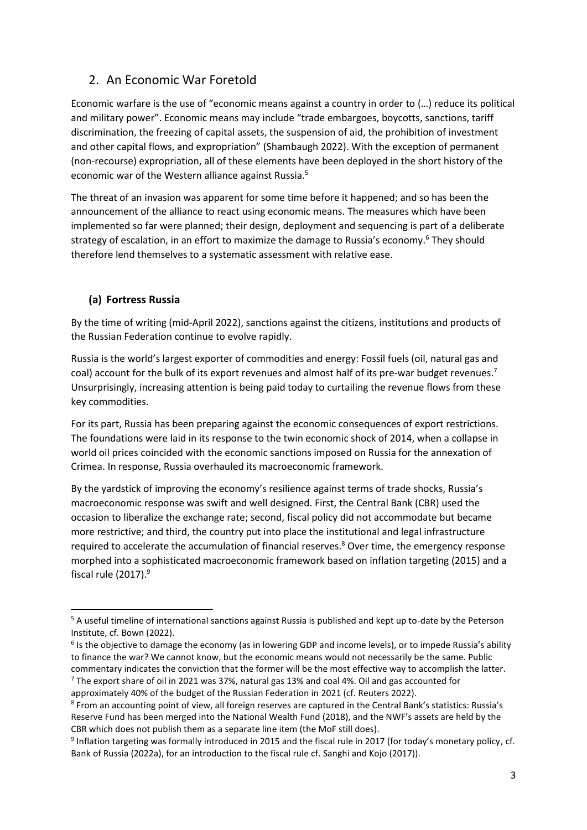## 2. An Economic War Foretold

Economic warfare is the use of "economic means against a country in order to (…) reduce its political and military power". Economic means may include "trade embargoes, boycotts, sanctions, tariff discrimination, the freezing of capital assets, the suspension of aid, the prohibition of investment and other capital flows, and expropriation" (Shambaugh 2022). With the exception of permanent (non-recourse) expropriation, all of these elements have been deployed in the short history of the economic war of the Western alliance against Russia.<sup>5</sup>

The threat of an invasion was apparent for some time before it happened; and so has been the announcement of the alliance to react using economic means. The measures which have been implemented so far were planned; their design, deployment and sequencing is part of a deliberate strategy of escalation, in an effort to maximize the damage to Russia's economy. <sup>6</sup> They should therefore lend themselves to a systematic assessment with relative ease.

#### **(a) Fortress Russia**

By the time of writing (mid-April 2022), sanctions against the citizens, institutions and products of the Russian Federation continue to evolve rapidly.

Russia is the world's largest exporter of commodities and energy: Fossil fuels (oil, natural gas and coal) account for the bulk of its export revenues and almost half of its pre-war budget revenues.<sup>7</sup> Unsurprisingly, increasing attention is being paid today to curtailing the revenue flows from these key commodities.

For its part, Russia has been preparing against the economic consequences of export restrictions. The foundations were laid in its response to the twin economic shock of 2014, when a collapse in world oil prices coincided with the economic sanctions imposed on Russia for the annexation of Crimea. In response, Russia overhauled its macroeconomic framework.

By the yardstick of improving the economy's resilience against terms of trade shocks, Russia's macroeconomic response was swift and well designed. First, the Central Bank (CBR) used the occasion to liberalize the exchange rate; second, fiscal policy did not accommodate but became more restrictive; and third, the country put into place the institutional and legal infrastructure required to accelerate the accumulation of financial reserves. <sup>8</sup> Over time, the emergency response morphed into a sophisticated macroeconomic framework based on inflation targeting (2015) and a fiscal rule (2017). 9

<sup>5</sup> A useful timeline of international sanctions against Russia is published and kept up to-date by the Peterson Institute, cf. Bown (2022).

<sup>&</sup>lt;sup>6</sup> Is the objective to damage the economy (as in lowering GDP and income levels), or to impede Russia's ability to finance the war? We cannot know, but the economic means would not necessarily be the same. Public commentary indicates the conviction that the former will be the most effective way to accomplish the latter.  $7$  The export share of oil in 2021 was 37%, natural gas 13% and coal 4%. Oil and gas accounted for

approximately 40% of the budget of the Russian Federation in 2021 (cf. Reuters 2022).

<sup>8</sup> From an accounting point of view, all foreign reserves are captured in the Central Bank's statistics: Russia's Reserve Fund has been merged into the National Wealth Fund (2018), and the NWF's assets are held by the CBR which does not publish them as a separate line item (the MoF still does).

<sup>&</sup>lt;sup>9</sup> Inflation targeting was formally introduced in 2015 and the fiscal rule in 2017 (for today's monetary policy, cf. Bank of Russia (2022a), for an introduction to the fiscal rule cf. Sanghi and Kojo (2017)).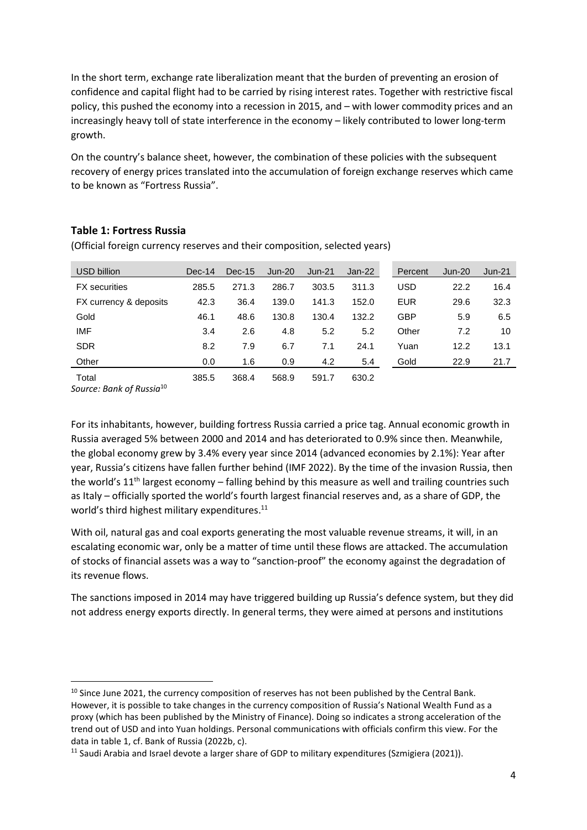In the short term, exchange rate liberalization meant that the burden of preventing an erosion of confidence and capital flight had to be carried by rising interest rates. Together with restrictive fiscal policy, this pushed the economy into a recession in 2015, and – with lower commodity prices and an increasingly heavy toll of state interference in the economy – likely contributed to lower long-term growth.

On the country's balance sheet, however, the combination of these policies with the subsequent recovery of energy prices translated into the accumulation of foreign exchange reserves which came to be known as "Fortress Russia".

#### **Table 1: Fortress Russia**

| USD billion            | $Dec-14$ | Dec-15 | Jun-20 | Jun-21 | Jan-22 | Percent    | Jun-20 | $Jun-21$ |
|------------------------|----------|--------|--------|--------|--------|------------|--------|----------|
| <b>FX</b> securities   | 285.5    | 271.3  | 286.7  | 303.5  | 311.3  | USD        | 22.2   | 16.4     |
| FX currency & deposits | 42.3     | 36.4   | 139.0  | 141.3  | 152.0  | <b>EUR</b> | 29.6   | 32.3     |
| Gold                   | 46.1     | 48.6   | 130.8  | 130.4  | 132.2  | <b>GBP</b> | 5.9    | 6.5      |
| <b>IMF</b>             | 3.4      | 2.6    | 4.8    | 5.2    | 5.2    | Other      | 7.2    | 10       |
| <b>SDR</b>             | 8.2      | 7.9    | 6.7    | 7.1    | 24.1   | Yuan       | 12.2   | 13.1     |
| Other                  | 0.0      | 1.6    | 0.9    | 4.2    | 5.4    | Gold       | 22.9   | 21.7     |
| Total                  | 385.5    | 368.4  | 568.9  | 591.7  | 630.2  |            |        |          |

(Official foreign currency reserves and their composition, selected years)

*Source: Bank of Russia*<sup>10</sup>

For its inhabitants, however, building fortress Russia carried a price tag. Annual economic growth in Russia averaged 5% between 2000 and 2014 and has deteriorated to 0.9% since then. Meanwhile, the global economy grew by 3.4% every year since 2014 (advanced economies by 2.1%): Year after year, Russia's citizens have fallen further behind (IMF 2022). By the time of the invasion Russia, then the world's 11<sup>th</sup> largest economy – falling behind by this measure as well and trailing countries such as Italy – officially sported the world's fourth largest financial reserves and, as a share of GDP, the world's third highest military expenditures.<sup>11</sup>

With oil, natural gas and coal exports generating the most valuable revenue streams, it will, in an escalating economic war, only be a matter of time until these flows are attacked. The accumulation of stocks of financial assets was a way to "sanction-proof" the economy against the degradation of its revenue flows.

The sanctions imposed in 2014 may have triggered building up Russia's defence system, but they did not address energy exports directly. In general terms, they were aimed at persons and institutions

<sup>&</sup>lt;sup>10</sup> Since June 2021, the currency composition of reserves has not been published by the Central Bank. However, it is possible to take changes in the currency composition of Russia's National Wealth Fund as a proxy (which has been published by the Ministry of Finance). Doing so indicates a strong acceleration of the trend out of USD and into Yuan holdings. Personal communications with officials confirm this view. For the data in table 1, cf. Bank of Russia (2022b, c).

<sup>&</sup>lt;sup>11</sup> Saudi Arabia and Israel devote a larger share of GDP to military expenditures (Szmigiera (2021)).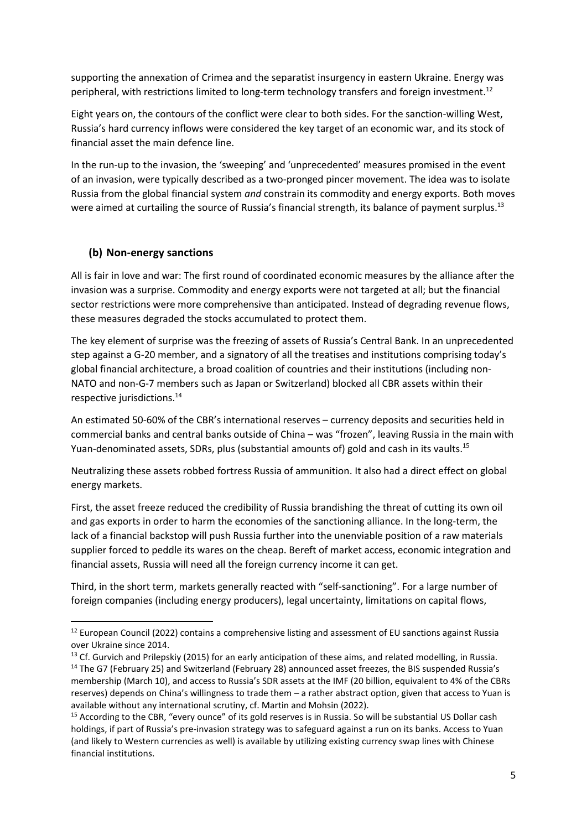supporting the annexation of Crimea and the separatist insurgency in eastern Ukraine. Energy was peripheral, with restrictions limited to long-term technology transfers and foreign investment.<sup>12</sup>

Eight years on, the contours of the conflict were clear to both sides. For the sanction-willing West, Russia's hard currency inflows were considered the key target of an economic war, and its stock of financial asset the main defence line.

In the run-up to the invasion, the 'sweeping' and 'unprecedented' measures promised in the event of an invasion, were typically described as a two-pronged pincer movement. The idea was to isolate Russia from the global financial system *and* constrain its commodity and energy exports. Both moves were aimed at curtailing the source of Russia's financial strength, its balance of payment surplus.<sup>13</sup>

#### **(b) Non-energy sanctions**

All is fair in love and war: The first round of coordinated economic measures by the alliance after the invasion was a surprise. Commodity and energy exports were not targeted at all; but the financial sector restrictions were more comprehensive than anticipated. Instead of degrading revenue flows, these measures degraded the stocks accumulated to protect them.

The key element of surprise was the freezing of assets of Russia's Central Bank. In an unprecedented step against a G-20 member, and a signatory of all the treatises and institutions comprising today's global financial architecture, a broad coalition of countries and their institutions (including non-NATO and non-G-7 members such as Japan or Switzerland) blocked all CBR assets within their respective jurisdictions. 14

An estimated 50-60% of the CBR's international reserves – currency deposits and securities held in commercial banks and central banks outside of China – was "frozen", leaving Russia in the main with Yuan-denominated assets, SDRs, plus (substantial amounts of) gold and cash in its vaults.<sup>15</sup>

Neutralizing these assets robbed fortress Russia of ammunition. It also had a direct effect on global energy markets.

First, the asset freeze reduced the credibility of Russia brandishing the threat of cutting its own oil and gas exports in order to harm the economies of the sanctioning alliance. In the long-term, the lack of a financial backstop will push Russia further into the unenviable position of a raw materials supplier forced to peddle its wares on the cheap. Bereft of market access, economic integration and financial assets, Russia will need all the foreign currency income it can get.

Third, in the short term, markets generally reacted with "self-sanctioning". For a large number of foreign companies (including energy producers), legal uncertainty, limitations on capital flows,

<sup>&</sup>lt;sup>12</sup> European Council (2022) contains a comprehensive listing and assessment of EU sanctions against Russia over Ukraine since 2014.

<sup>&</sup>lt;sup>13</sup> Cf. Gurvich and Prilepskiy (2015) for an early anticipation of these aims, and related modelling, in Russia.

<sup>&</sup>lt;sup>14</sup> The G7 (February 25) and Switzerland (February 28) announced asset freezes, the BIS suspended Russia's membership (March 10), and access to Russia's SDR assets at the IMF (20 billion, equivalent to 4% of the CBRs reserves) depends on China's willingness to trade them – a rather abstract option, given that access to Yuan is available without any international scrutiny, cf. Martin and Mohsin (2022).

<sup>&</sup>lt;sup>15</sup> According to the CBR, "every ounce" of its gold reserves is in Russia. So will be substantial US Dollar cash holdings, if part of Russia's pre-invasion strategy was to safeguard against a run on its banks. Access to Yuan (and likely to Western currencies as well) is available by utilizing existing currency swap lines with Chinese financial institutions.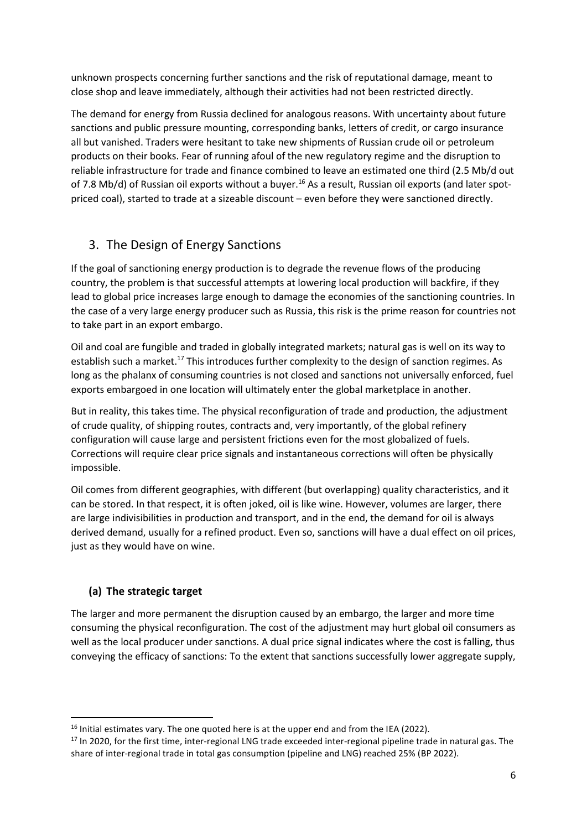unknown prospects concerning further sanctions and the risk of reputational damage, meant to close shop and leave immediately, although their activities had not been restricted directly.

The demand for energy from Russia declined for analogous reasons. With uncertainty about future sanctions and public pressure mounting, corresponding banks, letters of credit, or cargo insurance all but vanished. Traders were hesitant to take new shipments of Russian crude oil or petroleum products on their books. Fear of running afoul of the new regulatory regime and the disruption to reliable infrastructure for trade and finance combined to leave an estimated one third (2.5 Mb/d out of 7.8 Mb/d) of Russian oil exports without a buyer.<sup>16</sup> As a result, Russian oil exports (and later spotpriced coal), started to trade at a sizeable discount – even before they were sanctioned directly.

## 3. The Design of Energy Sanctions

If the goal of sanctioning energy production is to degrade the revenue flows of the producing country, the problem is that successful attempts at lowering local production will backfire, if they lead to global price increases large enough to damage the economies of the sanctioning countries. In the case of a very large energy producer such as Russia, this risk is the prime reason for countries not to take part in an export embargo.

Oil and coal are fungible and traded in globally integrated markets; natural gas is well on its way to establish such a market.<sup>17</sup> This introduces further complexity to the design of sanction regimes. As long as the phalanx of consuming countries is not closed and sanctions not universally enforced, fuel exports embargoed in one location will ultimately enter the global marketplace in another.

But in reality, this takes time. The physical reconfiguration of trade and production, the adjustment of crude quality, of shipping routes, contracts and, very importantly, of the global refinery configuration will cause large and persistent frictions even for the most globalized of fuels. Corrections will require clear price signals and instantaneous corrections will often be physically impossible.

Oil comes from different geographies, with different (but overlapping) quality characteristics, and it can be stored. In that respect, it is often joked, oil is like wine. However, volumes are larger, there are large indivisibilities in production and transport, and in the end, the demand for oil is always derived demand, usually for a refined product. Even so, sanctions will have a dual effect on oil prices, just as they would have on wine.

## **(a) The strategic target**

The larger and more permanent the disruption caused by an embargo, the larger and more time consuming the physical reconfiguration. The cost of the adjustment may hurt global oil consumers as well as the local producer under sanctions. A dual price signal indicates where the cost is falling, thus conveying the efficacy of sanctions: To the extent that sanctions successfully lower aggregate supply,

<sup>&</sup>lt;sup>16</sup> Initial estimates vary. The one quoted here is at the upper end and from the IEA (2022).

<sup>&</sup>lt;sup>17</sup> In 2020, for the first time, inter-regional LNG trade exceeded inter-regional pipeline trade in natural gas. The share of inter-regional trade in total gas consumption (pipeline and LNG) reached 25% (BP 2022).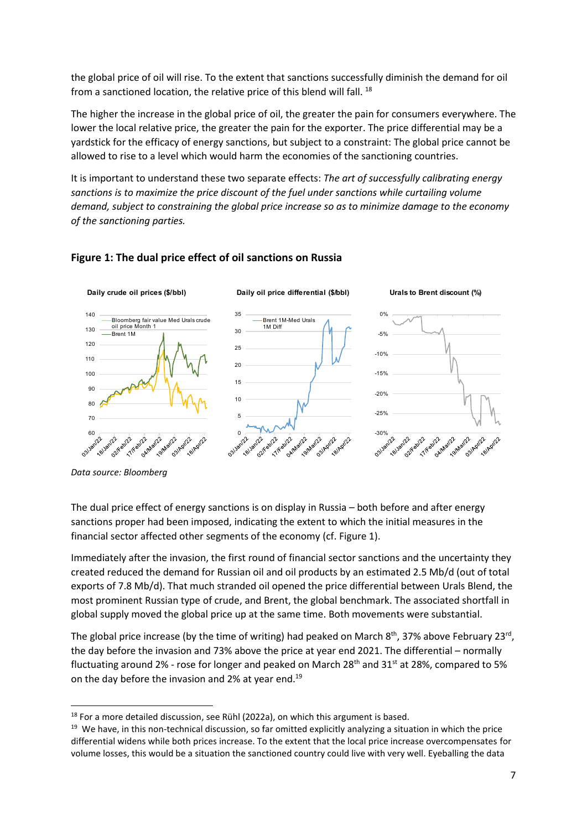the global price of oil will rise. To the extent that sanctions successfully diminish the demand for oil from a sanctioned location, the relative price of this blend will fall. <sup>18</sup>

The higher the increase in the global price of oil, the greater the pain for consumers everywhere. The lower the local relative price, the greater the pain for the exporter. The price differential may be a yardstick for the efficacy of energy sanctions, but subject to a constraint: The global price cannot be allowed to rise to a level which would harm the economies of the sanctioning countries.

It is important to understand these two separate effects: *The art of successfully calibrating energy sanctions is to maximize the price discount of the fuel under sanctions while curtailing volume demand, subject to constraining the global price increase so as to minimize damage to the economy of the sanctioning parties.* 



#### **Figure 1: The dual price effect of oil sanctions on Russia**

**Data source: Bloomberg** 

The dual price effect of energy sanctions is on display in Russia – both before and after energy sanctions proper had been imposed, indicating the extent to which the initial measures in the financial sector affected other segments of the economy (cf. Figure 1).

Immediately after the invasion, the first round of financial sector sanctions and the uncertainty they created reduced the demand for Russian oil and oil products by an estimated 2.5 Mb/d (out of total exports of 7.8 Mb/d). That much stranded oil opened the price differential between Urals Blend, the most prominent Russian type of crude, and Brent, the global benchmark. The associated shortfall in global supply moved the global price up at the same time. Both movements were substantial.

The global price increase (by the time of writing) had peaked on March  $8^{th}$ , 37% above February 23<sup>rd</sup>, the day before the invasion and 73% above the price at year end 2021. The differential – normally fluctuating around 2% - rose for longer and peaked on March 28<sup>th</sup> and 31<sup>st</sup> at 28%, compared to 5% on the day before the invasion and 2% at year end.<sup>19</sup>

 $18$  For a more detailed discussion, see Rühl (2022a), on which this argument is based.

<sup>&</sup>lt;sup>19</sup> We have, in this non-technical discussion, so far omitted explicitly analyzing a situation in which the price differential widens while both prices increase. To the extent that the local price increase overcompensates for volume losses, this would be a situation the sanctioned country could live with very well. Eyeballing the data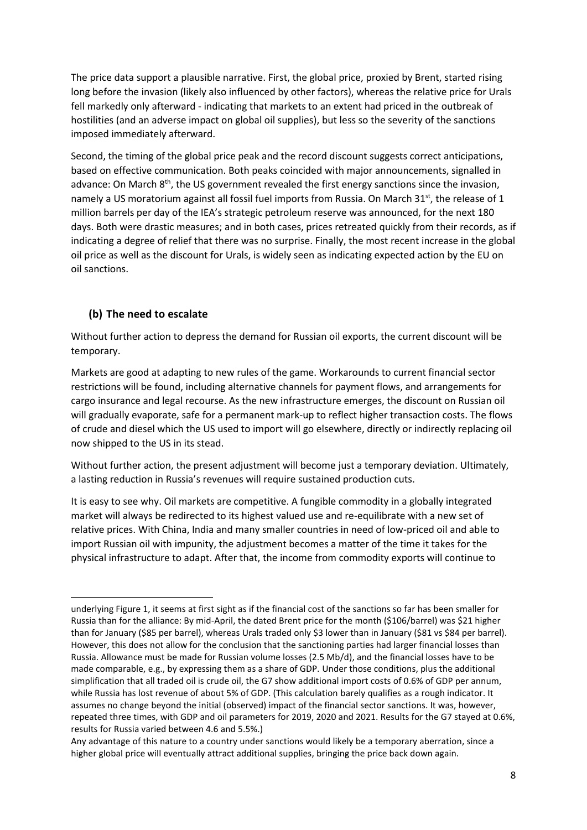The price data support a plausible narrative. First, the global price, proxied by Brent, started rising long before the invasion (likely also influenced by other factors), whereas the relative price for Urals fell markedly only afterward - indicating that markets to an extent had priced in the outbreak of hostilities (and an adverse impact on global oil supplies), but less so the severity of the sanctions imposed immediately afterward.

Second, the timing of the global price peak and the record discount suggests correct anticipations, based on effective communication. Both peaks coincided with major announcements, signalled in advance: On March 8<sup>th</sup>, the US government revealed the first energy sanctions since the invasion, namely a US moratorium against all fossil fuel imports from Russia. On March 31<sup>st</sup>, the release of 1 million barrels per day of the IEA's strategic petroleum reserve was announced, for the next 180 days. Both were drastic measures; and in both cases, prices retreated quickly from their records, as if indicating a degree of relief that there was no surprise. Finally, the most recent increase in the global oil price as well as the discount for Urals, is widely seen as indicating expected action by the EU on oil sanctions.

#### **(b) The need to escalate**

Without further action to depress the demand for Russian oil exports, the current discount will be temporary.

Markets are good at adapting to new rules of the game. Workarounds to current financial sector restrictions will be found, including alternative channels for payment flows, and arrangements for cargo insurance and legal recourse. As the new infrastructure emerges, the discount on Russian oil will gradually evaporate, safe for a permanent mark-up to reflect higher transaction costs. The flows of crude and diesel which the US used to import will go elsewhere, directly or indirectly replacing oil now shipped to the US in its stead.

Without further action, the present adjustment will become just a temporary deviation. Ultimately, a lasting reduction in Russia's revenues will require sustained production cuts.

It is easy to see why. Oil markets are competitive. A fungible commodity in a globally integrated market will always be redirected to its highest valued use and re-equilibrate with a new set of relative prices. With China, India and many smaller countries in need of low-priced oil and able to import Russian oil with impunity, the adjustment becomes a matter of the time it takes for the physical infrastructure to adapt. After that, the income from commodity exports will continue to

underlying Figure 1, it seems at first sight as if the financial cost of the sanctions so far has been smaller for Russia than for the alliance: By mid-April, the dated Brent price for the month (\$106/barrel) was \$21 higher than for January (\$85 per barrel), whereas Urals traded only \$3 lower than in January (\$81 vs \$84 per barrel). However, this does not allow for the conclusion that the sanctioning parties had larger financial losses than Russia. Allowance must be made for Russian volume losses (2.5 Mb/d), and the financial losses have to be made comparable, e.g., by expressing them as a share of GDP. Under those conditions, plus the additional simplification that all traded oil is crude oil, the G7 show additional import costs of 0.6% of GDP per annum, while Russia has lost revenue of about 5% of GDP. (This calculation barely qualifies as a rough indicator. It assumes no change beyond the initial (observed) impact of the financial sector sanctions. It was, however, repeated three times, with GDP and oil parameters for 2019, 2020 and 2021. Results for the G7 stayed at 0.6%, results for Russia varied between 4.6 and 5.5%.)

Any advantage of this nature to a country under sanctions would likely be a temporary aberration, since a higher global price will eventually attract additional supplies, bringing the price back down again.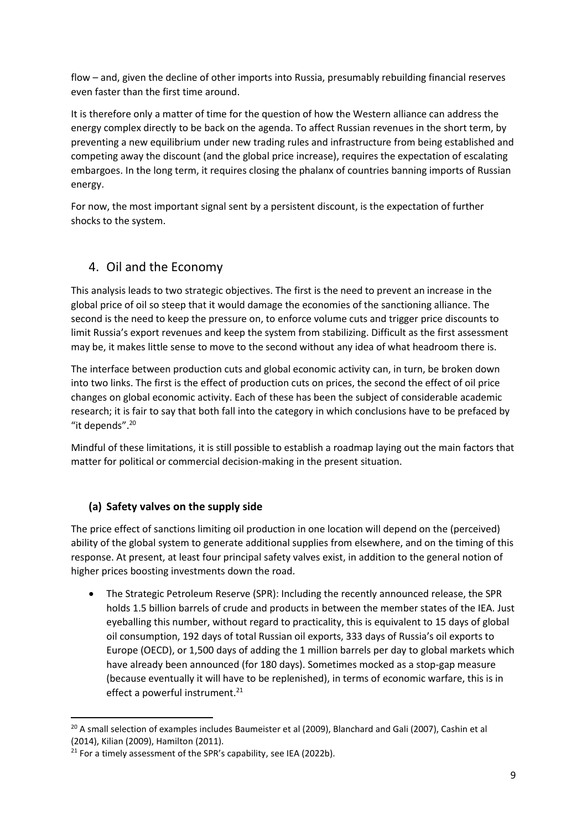flow – and, given the decline of other imports into Russia, presumably rebuilding financial reserves even faster than the first time around.

It is therefore only a matter of time for the question of how the Western alliance can address the energy complex directly to be back on the agenda. To affect Russian revenues in the short term, by preventing a new equilibrium under new trading rules and infrastructure from being established and competing away the discount (and the global price increase), requires the expectation of escalating embargoes. In the long term, it requires closing the phalanx of countries banning imports of Russian energy.

For now, the most important signal sent by a persistent discount, is the expectation of further shocks to the system.

## 4. Oil and the Economy

This analysis leads to two strategic objectives. The first is the need to prevent an increase in the global price of oil so steep that it would damage the economies of the sanctioning alliance. The second is the need to keep the pressure on, to enforce volume cuts and trigger price discounts to limit Russia's export revenues and keep the system from stabilizing. Difficult as the first assessment may be, it makes little sense to move to the second without any idea of what headroom there is.

The interface between production cuts and global economic activity can, in turn, be broken down into two links. The first is the effect of production cuts on prices, the second the effect of oil price changes on global economic activity. Each of these has been the subject of considerable academic research; it is fair to say that both fall into the category in which conclusions have to be prefaced by "it depends".<sup>20</sup>

Mindful of these limitations, it is still possible to establish a roadmap laying out the main factors that matter for political or commercial decision-making in the present situation.

#### **(a) Safety valves on the supply side**

The price effect of sanctions limiting oil production in one location will depend on the (perceived) ability of the global system to generate additional supplies from elsewhere, and on the timing of this response. At present, at least four principal safety valves exist, in addition to the general notion of higher prices boosting investments down the road.

• The Strategic Petroleum Reserve (SPR): Including the recently announced release, the SPR holds 1.5 billion barrels of crude and products in between the member states of the IEA. Just eyeballing this number, without regard to practicality, this is equivalent to 15 days of global oil consumption, 192 days of total Russian oil exports, 333 days of Russia's oil exports to Europe (OECD), or 1,500 days of adding the 1 million barrels per day to global markets which have already been announced (for 180 days). Sometimes mocked as a stop-gap measure (because eventually it will have to be replenished), in terms of economic warfare, this is in effect a powerful instrument. 21

<sup>&</sup>lt;sup>20</sup> A small selection of examples includes Baumeister et al (2009), Blanchard and Gali (2007), Cashin et al (2014), Kilian (2009), Hamilton (2011).

 $21$  For a timely assessment of the SPR's capability, see IEA (2022b).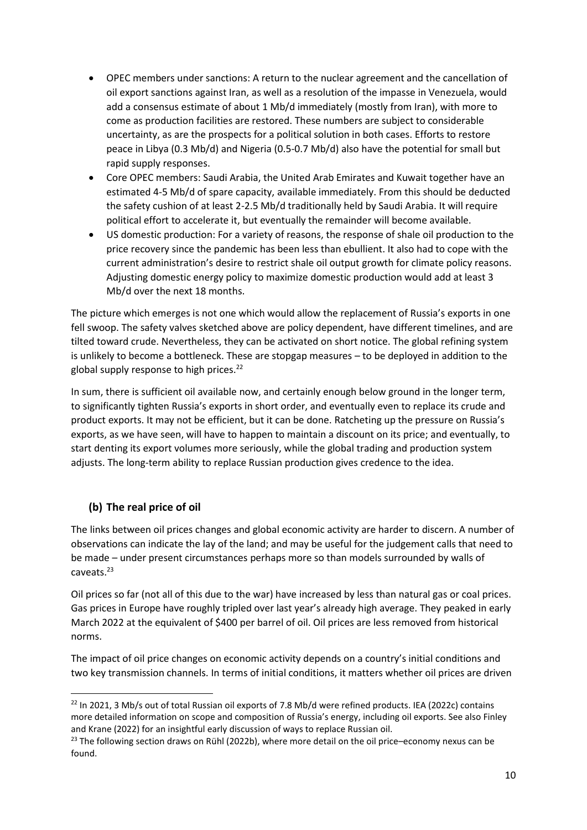- OPEC members under sanctions: A return to the nuclear agreement and the cancellation of oil export sanctions against Iran, as well as a resolution of the impasse in Venezuela, would add a consensus estimate of about 1 Mb/d immediately (mostly from Iran), with more to come as production facilities are restored. These numbers are subject to considerable uncertainty, as are the prospects for a political solution in both cases. Efforts to restore peace in Libya (0.3 Mb/d) and Nigeria (0.5-0.7 Mb/d) also have the potential for small but rapid supply responses.
- Core OPEC members: Saudi Arabia, the United Arab Emirates and Kuwait together have an estimated 4-5 Mb/d of spare capacity, available immediately. From this should be deducted the safety cushion of at least 2-2.5 Mb/d traditionally held by Saudi Arabia. It will require political effort to accelerate it, but eventually the remainder will become available.
- US domestic production: For a variety of reasons, the response of shale oil production to the price recovery since the pandemic has been less than ebullient. It also had to cope with the current administration's desire to restrict shale oil output growth for climate policy reasons. Adjusting domestic energy policy to maximize domestic production would add at least 3 Mb/d over the next 18 months.

The picture which emerges is not one which would allow the replacement of Russia's exports in one fell swoop. The safety valves sketched above are policy dependent, have different timelines, and are tilted toward crude. Nevertheless, they can be activated on short notice. The global refining system is unlikely to become a bottleneck. These are stopgap measures – to be deployed in addition to the global supply response to high prices.<sup>22</sup>

In sum, there is sufficient oil available now, and certainly enough below ground in the longer term, to significantly tighten Russia's exports in short order, and eventually even to replace its crude and product exports. It may not be efficient, but it can be done. Ratcheting up the pressure on Russia's exports, as we have seen, will have to happen to maintain a discount on its price; and eventually, to start denting its export volumes more seriously, while the global trading and production system adjusts. The long-term ability to replace Russian production gives credence to the idea.

## **(b) The real price of oil**

The links between oil prices changes and global economic activity are harder to discern. A number of observations can indicate the lay of the land; and may be useful for the judgement calls that need to be made – under present circumstances perhaps more so than models surrounded by walls of caveats.<sup>23</sup>

Oil prices so far (not all of this due to the war) have increased by less than natural gas or coal prices. Gas prices in Europe have roughly tripled over last year's already high average. They peaked in early March 2022 at the equivalent of \$400 per barrel of oil. Oil prices are less removed from historical norms.

The impact of oil price changes on economic activity depends on a country's initial conditions and two key transmission channels. In terms of initial conditions, it matters whether oil prices are driven

<sup>&</sup>lt;sup>22</sup> In 2021, 3 Mb/s out of total Russian oil exports of 7.8 Mb/d were refined products. IEA (2022c) contains more detailed information on scope and composition of Russia's energy, including oil exports. See also Finley and Krane (2022) for an insightful early discussion of ways to replace Russian oil.

 $^{23}$  The following section draws on Rühl (2022b), where more detail on the oil price–economy nexus can be found.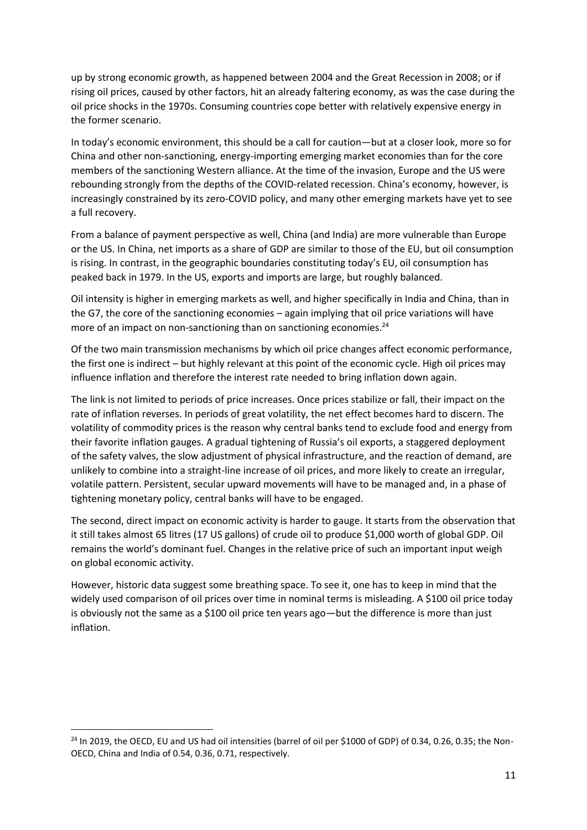up by strong economic growth, as happened between 2004 and the Great Recession in 2008; or if rising oil prices, caused by other factors, hit an already faltering economy, as was the case during the oil price shocks in the 1970s. Consuming countries cope better with relatively expensive energy in the former scenario.

In today's economic environment, this should be a call for caution—but at a closer look, more so for China and other non-sanctioning, energy-importing emerging market economies than for the core members of the sanctioning Western alliance. At the time of the invasion, Europe and the US were rebounding strongly from the depths of the COVID-related recession. China's economy, however, is increasingly constrained by its zero-COVID policy, and many other emerging markets have yet to see a full recovery.

From a balance of payment perspective as well, China (and India) are more vulnerable than Europe or the US. In China, net imports as a share of GDP are similar to those of the EU, but oil consumption is rising. In contrast, in the geographic boundaries constituting today's EU, oil consumption has peaked back in 1979. In the US, exports and imports are large, but roughly balanced.

Oil intensity is higher in emerging markets as well, and higher specifically in India and China, than in the G7, the core of the sanctioning economies – again implying that oil price variations will have more of an impact on non-sanctioning than on sanctioning economies.<sup>24</sup>

Of the two main transmission mechanisms by which oil price changes affect economic performance, the first one is indirect – but highly relevant at this point of the economic cycle. High oil prices may influence inflation and therefore the interest rate needed to bring inflation down again.

The link is not limited to periods of price increases. Once prices stabilize or fall, their impact on the rate of inflation reverses. In periods of great volatility, the net effect becomes hard to discern. The volatility of commodity prices is the reason why central banks tend to exclude food and energy from their favorite inflation gauges. A gradual tightening of Russia's oil exports, a staggered deployment of the safety valves, the slow adjustment of physical infrastructure, and the reaction of demand, are unlikely to combine into a straight-line increase of oil prices, and more likely to create an irregular, volatile pattern. Persistent, secular upward movements will have to be managed and, in a phase of tightening monetary policy, central banks will have to be engaged.

The second, direct impact on economic activity is harder to gauge. It starts from the observation that it still takes almost 65 litres (17 US gallons) of crude oil to produce \$1,000 worth of global GDP. Oil remains the world's dominant fuel. Changes in the relative price of such an important input weigh on global economic activity.

However, historic data suggest some breathing space. To see it, one has to keep in mind that the widely used comparison of oil prices over time in nominal terms is misleading. A \$100 oil price today is obviously not the same as a \$100 oil price ten years ago—but the difference is more than just inflation.

<sup>&</sup>lt;sup>24</sup> In 2019, the OECD, EU and US had oil intensities (barrel of oil per \$1000 of GDP) of 0.34, 0.26, 0.35; the Non-OECD, China and India of 0.54, 0.36, 0.71, respectively.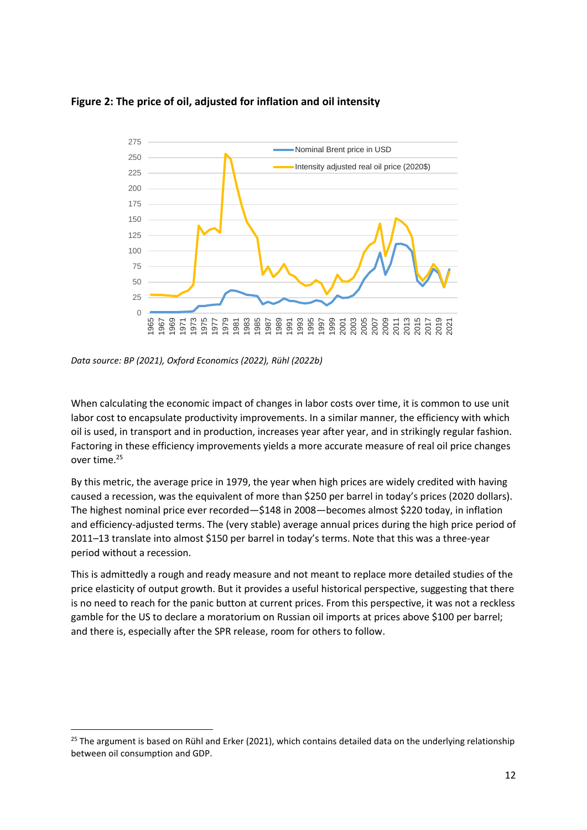

#### **Figure 2: The price of oil, adjusted for inflation and oil intensity**

*Data source: BP (2021), Oxford Economics (2022), Rühl (2022b)*

When calculating the economic impact of changes in labor costs over time, it is common to use unit labor cost to encapsulate productivity improvements. In a similar manner, the efficiency with which oil is used, in transport and in production, increases year after year, and in strikingly regular fashion. Factoring in these efficiency improvements yields a more accurate measure of real oil price changes over time.<sup>25</sup>

By this metric, the average price in 1979, the year when high prices are widely credited with having caused a recession, was the equivalent of more than \$250 per barrel in today's prices (2020 dollars). The highest nominal price ever recorded—\$148 in 2008—becomes almost \$220 today, in inflation and efficiency-adjusted terms. The (very stable) average annual prices during the high price period of 2011–13 translate into almost \$150 per barrel in today's terms. Note that this was a three-year period without a recession.

This is admittedly a rough and ready measure and not meant to replace more detailed studies of the price elasticity of output growth. But it provides a useful historical perspective, suggesting that there is no need to reach for the panic button at current prices. From this perspective, it was not a reckless gamble for the US to declare a moratorium on Russian oil imports at prices above \$100 per barrel; and there is, especially after the SPR release, room for others to follow.

<sup>&</sup>lt;sup>25</sup> The argument is based on Rühl and Erker (2021), which contains detailed data on the underlying relationship between oil consumption and GDP.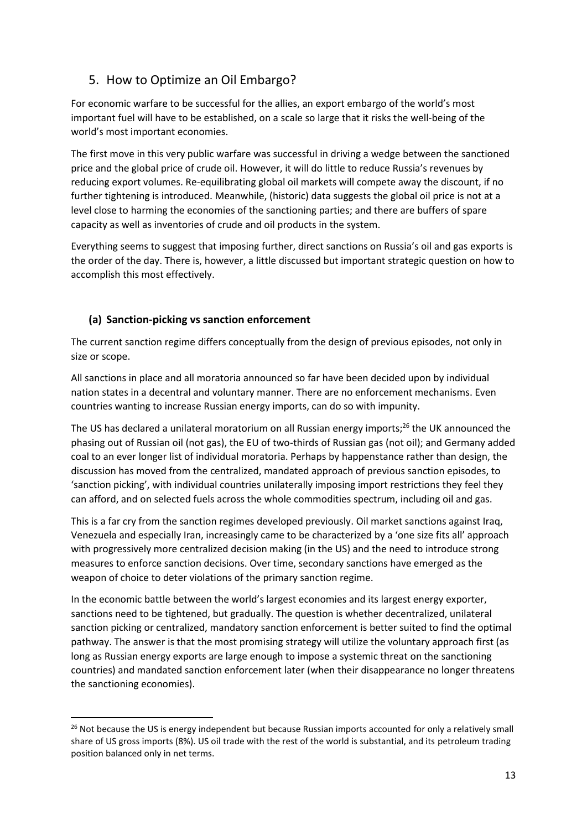# 5. How to Optimize an Oil Embargo?

For economic warfare to be successful for the allies, an export embargo of the world's most important fuel will have to be established, on a scale so large that it risks the well-being of the world's most important economies.

The first move in this very public warfare was successful in driving a wedge between the sanctioned price and the global price of crude oil. However, it will do little to reduce Russia's revenues by reducing export volumes. Re-equilibrating global oil markets will compete away the discount, if no further tightening is introduced. Meanwhile, (historic) data suggests the global oil price is not at a level close to harming the economies of the sanctioning parties; and there are buffers of spare capacity as well as inventories of crude and oil products in the system.

Everything seems to suggest that imposing further, direct sanctions on Russia's oil and gas exports is the order of the day. There is, however, a little discussed but important strategic question on how to accomplish this most effectively.

#### **(a) Sanction-picking vs sanction enforcement**

The current sanction regime differs conceptually from the design of previous episodes, not only in size or scope.

All sanctions in place and all moratoria announced so far have been decided upon by individual nation states in a decentral and voluntary manner. There are no enforcement mechanisms. Even countries wanting to increase Russian energy imports, can do so with impunity.

The US has declared a unilateral moratorium on all Russian energy imports;<sup>26</sup> the UK announced the phasing out of Russian oil (not gas), the EU of two-thirds of Russian gas (not oil); and Germany added coal to an ever longer list of individual moratoria. Perhaps by happenstance rather than design, the discussion has moved from the centralized, mandated approach of previous sanction episodes, to 'sanction picking', with individual countries unilaterally imposing import restrictions they feel they can afford, and on selected fuels across the whole commodities spectrum, including oil and gas.

This is a far cry from the sanction regimes developed previously. Oil market sanctions against Iraq, Venezuela and especially Iran, increasingly came to be characterized by a 'one size fits all' approach with progressively more centralized decision making (in the US) and the need to introduce strong measures to enforce sanction decisions. Over time, secondary sanctions have emerged as the weapon of choice to deter violations of the primary sanction regime.

In the economic battle between the world's largest economies and its largest energy exporter, sanctions need to be tightened, but gradually. The question is whether decentralized, unilateral sanction picking or centralized, mandatory sanction enforcement is better suited to find the optimal pathway. The answer is that the most promising strategy will utilize the voluntary approach first (as long as Russian energy exports are large enough to impose a systemic threat on the sanctioning countries) and mandated sanction enforcement later (when their disappearance no longer threatens the sanctioning economies).

<sup>&</sup>lt;sup>26</sup> Not because the US is energy independent but because Russian imports accounted for only a relatively small share of US gross imports (8%). US oil trade with the rest of the world is substantial, and its petroleum trading position balanced only in net terms.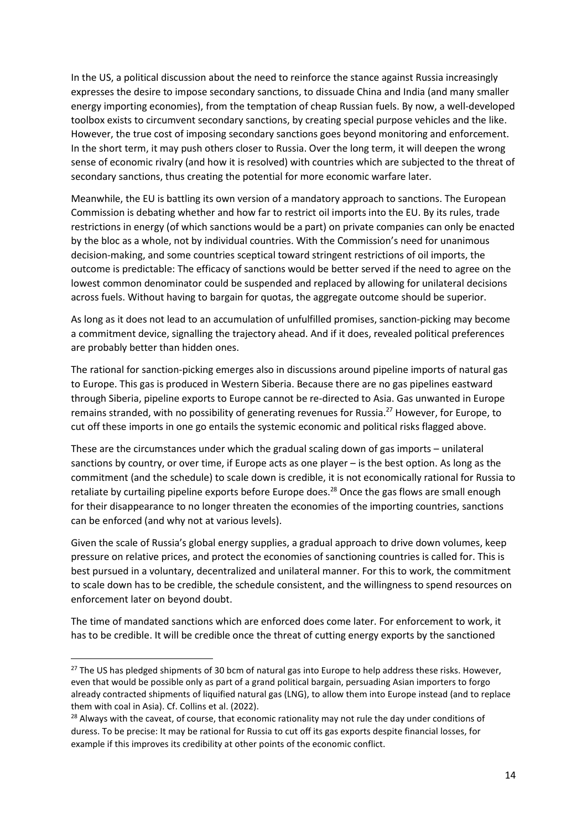In the US, a political discussion about the need to reinforce the stance against Russia increasingly expresses the desire to impose secondary sanctions, to dissuade China and India (and many smaller energy importing economies), from the temptation of cheap Russian fuels. By now, a well-developed toolbox exists to circumvent secondary sanctions, by creating special purpose vehicles and the like. However, the true cost of imposing secondary sanctions goes beyond monitoring and enforcement. In the short term, it may push others closer to Russia. Over the long term, it will deepen the wrong sense of economic rivalry (and how it is resolved) with countries which are subjected to the threat of secondary sanctions, thus creating the potential for more economic warfare later.

Meanwhile, the EU is battling its own version of a mandatory approach to sanctions. The European Commission is debating whether and how far to restrict oil imports into the EU. By its rules, trade restrictions in energy (of which sanctions would be a part) on private companies can only be enacted by the bloc as a whole, not by individual countries. With the Commission's need for unanimous decision-making, and some countries sceptical toward stringent restrictions of oil imports, the outcome is predictable: The efficacy of sanctions would be better served if the need to agree on the lowest common denominator could be suspended and replaced by allowing for unilateral decisions across fuels. Without having to bargain for quotas, the aggregate outcome should be superior.

As long as it does not lead to an accumulation of unfulfilled promises, sanction-picking may become a commitment device, signalling the trajectory ahead. And if it does, revealed political preferences are probably better than hidden ones.

The rational for sanction-picking emerges also in discussions around pipeline imports of natural gas to Europe. This gas is produced in Western Siberia. Because there are no gas pipelines eastward through Siberia, pipeline exports to Europe cannot be re-directed to Asia. Gas unwanted in Europe remains stranded, with no possibility of generating revenues for Russia.<sup>27</sup> However, for Europe, to cut off these imports in one go entails the systemic economic and political risks flagged above.

These are the circumstances under which the gradual scaling down of gas imports – unilateral sanctions by country, or over time, if Europe acts as one player – is the best option. As long as the commitment (and the schedule) to scale down is credible, it is not economically rational for Russia to retaliate by curtailing pipeline exports before Europe does.<sup>28</sup> Once the gas flows are small enough for their disappearance to no longer threaten the economies of the importing countries, sanctions can be enforced (and why not at various levels).

Given the scale of Russia's global energy supplies, a gradual approach to drive down volumes, keep pressure on relative prices, and protect the economies of sanctioning countries is called for. This is best pursued in a voluntary, decentralized and unilateral manner. For this to work, the commitment to scale down has to be credible, the schedule consistent, and the willingness to spend resources on enforcement later on beyond doubt.

The time of mandated sanctions which are enforced does come later. For enforcement to work, it has to be credible. It will be credible once the threat of cutting energy exports by the sanctioned

<sup>&</sup>lt;sup>27</sup> The US has pledged shipments of 30 bcm of natural gas into Europe to help address these risks. However, even that would be possible only as part of a grand political bargain, persuading Asian importers to forgo already contracted shipments of liquified natural gas (LNG), to allow them into Europe instead (and to replace them with coal in Asia). Cf. Collins et al. (2022).

<sup>&</sup>lt;sup>28</sup> Always with the caveat, of course, that economic rationality may not rule the day under conditions of duress. To be precise: It may be rational for Russia to cut off its gas exports despite financial losses, for example if this improves its credibility at other points of the economic conflict.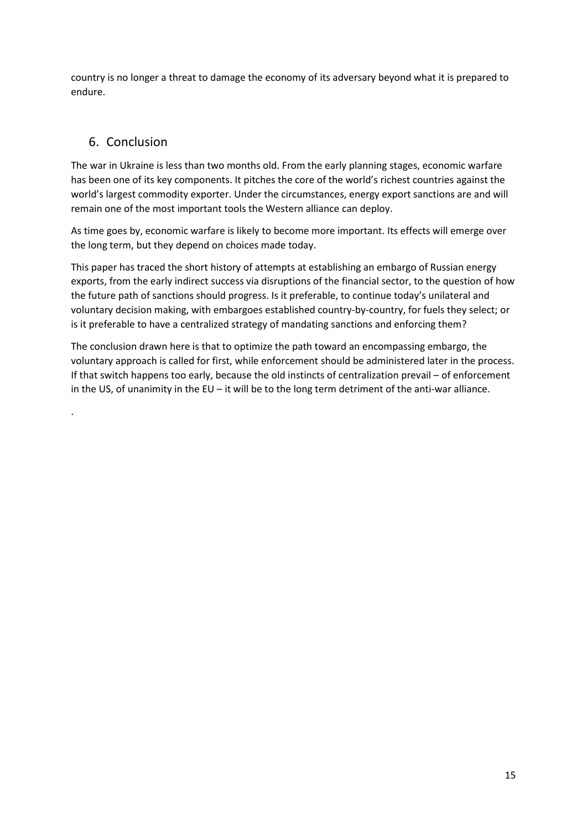country is no longer a threat to damage the economy of its adversary beyond what it is prepared to endure.

## 6. Conclusion

.

The war in Ukraine is less than two months old. From the early planning stages, economic warfare has been one of its key components. It pitches the core of the world's richest countries against the world's largest commodity exporter. Under the circumstances, energy export sanctions are and will remain one of the most important tools the Western alliance can deploy.

As time goes by, economic warfare is likely to become more important. Its effects will emerge over the long term, but they depend on choices made today.

This paper has traced the short history of attempts at establishing an embargo of Russian energy exports, from the early indirect success via disruptions of the financial sector, to the question of how the future path of sanctions should progress. Is it preferable, to continue today's unilateral and voluntary decision making, with embargoes established country-by-country, for fuels they select; or is it preferable to have a centralized strategy of mandating sanctions and enforcing them?

The conclusion drawn here is that to optimize the path toward an encompassing embargo, the voluntary approach is called for first, while enforcement should be administered later in the process. If that switch happens too early, because the old instincts of centralization prevail – of enforcement in the US, of unanimity in the EU – it will be to the long term detriment of the anti-war alliance.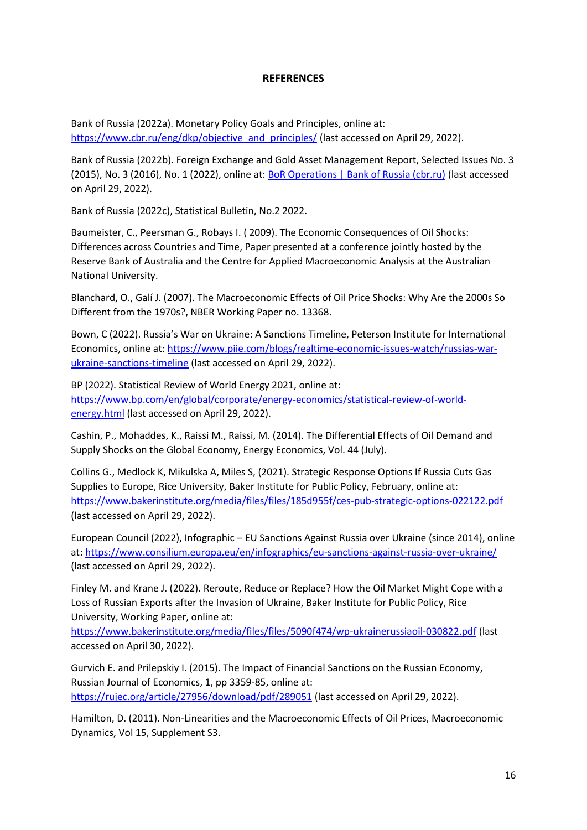#### **REFERENCES**

Bank of Russia (2022a). Monetary Policy Goals and Principles, online at: [https://www.cbr.ru/eng/dkp/objective\\_and\\_principles/](https://www.cbr.ru/eng/dkp/objective_and_principles/) (last accessed on April 29, 2022).

Bank of Russia (2022b). Foreign Exchange and Gold Asset Management Report, Selected Issues No. 3 (2015), No. 3 (2016), No. 1 (2022), online at: [BoR Operations | Bank of Russia \(cbr.ru\)](http://www.cbr.ru/eng/analytics/oper_br/) (last accessed on April 29, 2022).

Bank of Russia (2022c), Statistical Bulletin, No.2 2022.

Baumeister, C., Peersman G., Robays I. ( 2009). The Economic Consequences of Oil Shocks: Differences across Countries and Time, Paper presented at a conference jointly hosted by the Reserve Bank of Australia and the Centre for Applied Macroeconomic Analysis at the Australian National University.

Blanchard, O., Galí J. (2007). The Macroeconomic Effects of Oil Price Shocks: Why Are the 2000s So Different from the 1970s?, NBER Working Paper no. 13368.

Bown, C (2022). Russia's War on Ukraine: A Sanctions Timeline, Peterson Institute for International Economics, online at[: https://www.piie.com/blogs/realtime-economic-issues-watch/russias-war](https://www.piie.com/blogs/realtime-economic-issues-watch/russias-war-ukraine-sanctions-timeline)[ukraine-sanctions-timeline](https://www.piie.com/blogs/realtime-economic-issues-watch/russias-war-ukraine-sanctions-timeline) (last accessed on April 29, 2022).

BP (2022). Statistical Review of World Energy 2021, online at: [https://www.bp.com/en/global/corporate/energy-economics/statistical-review-of-world](https://www.bp.com/en/global/corporate/energy-economics/statistical-review-of-world-energy.html)[energy.html](https://www.bp.com/en/global/corporate/energy-economics/statistical-review-of-world-energy.html) (last accessed on April 29, 2022).

Cashin, P., Mohaddes, K., Raissi M., Raissi, M. (2014). The Differential Effects of Oil Demand and Supply Shocks on the Global Economy, Energy Economics, Vol. 44 (July).

Collins G., Medlock K, Mikulska A, Miles S, (2021). Strategic Response Options If Russia Cuts Gas Supplies to Europe, Rice University, Baker Institute for Public Policy, February, online at: <https://www.bakerinstitute.org/media/files/files/185d955f/ces-pub-strategic-options-022122.pdf> (last accessed on April 29, 2022).

European Council (2022), Infographic – EU Sanctions Against Russia over Ukraine (since 2014), online at:<https://www.consilium.europa.eu/en/infographics/eu-sanctions-against-russia-over-ukraine/> (last accessed on April 29, 2022).

Finley M. and Krane J. (2022). Reroute, Reduce or Replace? How the Oil Market Might Cope with a Loss of Russian Exports after the Invasion of Ukraine, Baker Institute for Public Policy, Rice University, Working Paper, online at:

<https://www.bakerinstitute.org/media/files/files/5090f474/wp-ukrainerussiaoil-030822.pdf> (last accessed on April 30, 2022).

Gurvich E. and Prilepskiy I. (2015). The Impact of Financial Sanctions on the Russian Economy, Russian Journal of Economics, 1, pp 3359-85, online at: <https://rujec.org/article/27956/download/pdf/289051> (last accessed on April 29, 2022).

Hamilton, D. (2011). Non-Linearities and the Macroeconomic Effects of Oil Prices, Macroeconomic Dynamics, Vol 15, Supplement S3.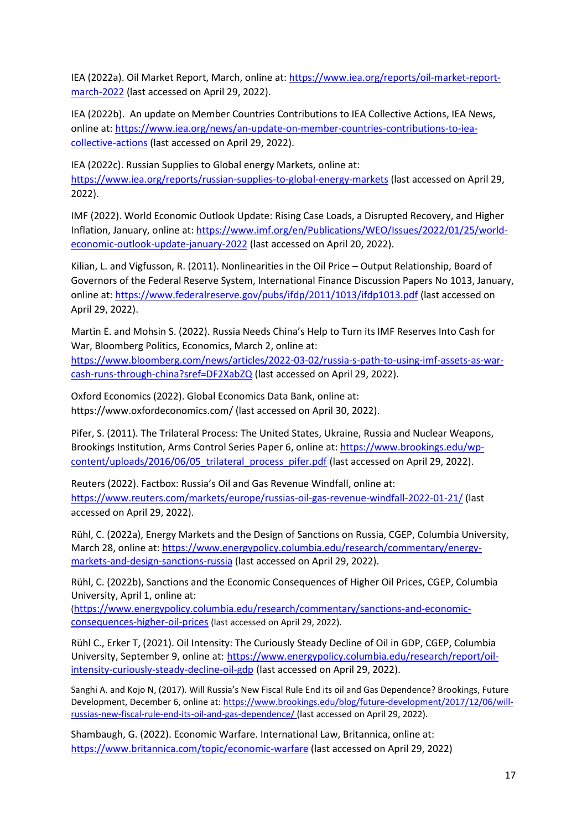IEA (2022a). Oil Market Report, March, online at: [https://www.iea.org/reports/oil-market-report](https://www.iea.org/reports/oil-market-report-march-2022)[march-2022](https://www.iea.org/reports/oil-market-report-march-2022) (last accessed on April 29, 2022).

IEA (2022b). An update on Member Countries Contributions to IEA Collective Actions, IEA News, online at[: https://www.iea.org/news/an-update-on-member-countries-contributions-to-iea](https://www.iea.org/news/an-update-on-member-countries-contributions-to-iea-collective-actions)[collective-actions](https://www.iea.org/news/an-update-on-member-countries-contributions-to-iea-collective-actions) (last accessed on April 29, 2022).

IEA (2022c). Russian Supplies to Global energy Markets, online at: <https://www.iea.org/reports/russian-supplies-to-global-energy-markets> (last accessed on April 29, 2022).

IMF (2022). World Economic Outlook Update: Rising Case Loads, a Disrupted Recovery, and Higher Inflation, January, online at: [https://www.imf.org/en/Publications/WEO/Issues/2022/01/25/world](https://www.imf.org/en/Publications/WEO/Issues/2022/01/25/world-economic-outlook-update-january-2022)[economic-outlook-update-january-2022](https://www.imf.org/en/Publications/WEO/Issues/2022/01/25/world-economic-outlook-update-january-2022) (last accessed on April 20, 2022).

Kilian, L. and Vigfusson, R. (2011). Nonlinearities in the Oil Price – Output Relationship, Board of Governors of the Federal Reserve System, International Finance Discussion Papers No 1013, January, online at[: https://www.federalreserve.gov/pubs/ifdp/2011/1013/ifdp1013.pdf](https://www.federalreserve.gov/pubs/ifdp/2011/1013/ifdp1013.pdf) (last accessed on April 29, 2022).

Martin E. and Mohsin S. (2022). Russia Needs China's Help to Turn its IMF Reserves Into Cash for War, Bloomberg Politics, Economics, March 2, online at: [https://www.bloomberg.com/news/articles/2022-03-02/russia-s-path-to-using-imf-assets-as-war](https://www.bloomberg.com/news/articles/2022-03-02/russia-s-path-to-using-imf-assets-as-war-cash-runs-through-china?sref=DF2XabZQ)[cash-runs-through-china?sref=DF2XabZQ](https://www.bloomberg.com/news/articles/2022-03-02/russia-s-path-to-using-imf-assets-as-war-cash-runs-through-china?sref=DF2XabZQ) (last accessed on April 29, 2022).

Oxford Economics (2022). Global Economics Data Bank, online at: https://www.oxfordeconomics.com/ (last accessed on April 30, 2022).

Pifer, S. (2011). The Trilateral Process: The United States, Ukraine, Russia and Nuclear Weapons, Brookings Institution, Arms Control Series Paper 6, online at: [https://www.brookings.edu/wp](https://www.brookings.edu/wp-content/uploads/2016/06/05_trilateral_process_pifer.pdf)[content/uploads/2016/06/05\\_trilateral\\_process\\_pifer.pdf](https://www.brookings.edu/wp-content/uploads/2016/06/05_trilateral_process_pifer.pdf) (last accessed on April 29, 2022).

Reuters (2022). Factbox: Russia's Oil and Gas Revenue Windfall, online at: <https://www.reuters.com/markets/europe/russias-oil-gas-revenue-windfall-2022-01-21/> (last accessed on April 29, 2022).

Rühl, C. (2022a), Energy Markets and the Design of Sanctions on Russia, CGEP, Columbia University, March 28, online at[: https://www.energypolicy.columbia.edu/research/commentary/energy](https://www.energypolicy.columbia.edu/research/commentary/energy-markets-and-design-sanctions-russia)[markets-and-design-sanctions-russia](https://www.energypolicy.columbia.edu/research/commentary/energy-markets-and-design-sanctions-russia) (last accessed on April 29, 2022).

Rühl, C. (2022b), Sanctions and the Economic Consequences of Higher Oil Prices, CGEP, Columbia University, April 1, online at:

([https://www.energypolicy.columbia.edu/research/commentary/sanctions-and-economic](https://www.energypolicy.columbia.edu/research/commentary/sanctions-and-economic-consequences-higher-oil-prices)[consequences-higher-oil-prices](https://www.energypolicy.columbia.edu/research/commentary/sanctions-and-economic-consequences-higher-oil-prices) (last accessed on April 29, 2022).

Rühl C., Erker T, (2021). Oil Intensity: The Curiously Steady Decline of Oil in GDP, CGEP, Columbia University, September 9, online at: [https://www.energypolicy.columbia.edu/research/report/oil](https://www.energypolicy.columbia.edu/research/report/oil-intensity-curiously-steady-decline-oil-gdp)[intensity-curiously-steady-decline-oil-gdp](https://www.energypolicy.columbia.edu/research/report/oil-intensity-curiously-steady-decline-oil-gdp) (last accessed on April 29, 2022).

Sanghi A. and Kojo N, (2017). Will Russia's New Fiscal Rule End its oil and Gas Dependence? Brookings, Future Development, December 6, online at: [https://www.brookings.edu/blog/future-development/2017/12/06/will](https://www.brookings.edu/blog/future-development/2017/12/06/will-russias-new-fiscal-rule-end-its-oil-and-gas-dependence/)[russias-new-fiscal-rule-end-its-oil-and-gas-dependence/](https://www.brookings.edu/blog/future-development/2017/12/06/will-russias-new-fiscal-rule-end-its-oil-and-gas-dependence/) (last accessed on April 29, 2022).

Shambaugh, G. (2022). Economic Warfare. International Law, Britannica, online at: <https://www.britannica.com/topic/economic-warfare> (last accessed on April 29, 2022)